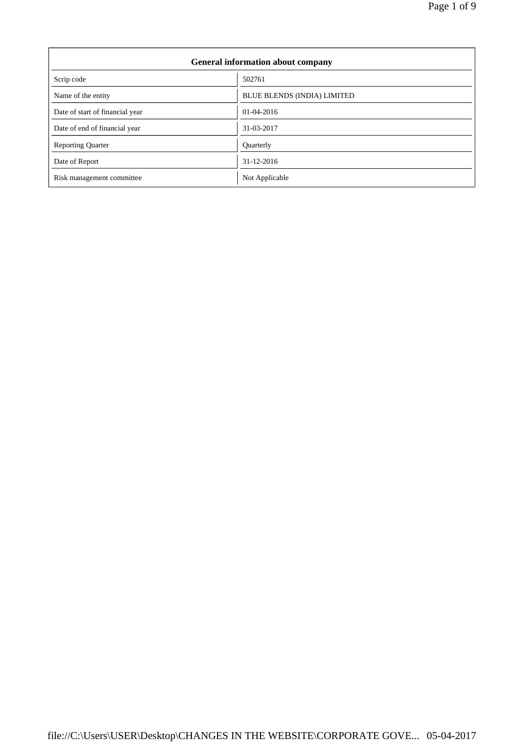| <b>General information about company</b> |                                    |  |
|------------------------------------------|------------------------------------|--|
| Scrip code                               | 502761                             |  |
| Name of the entity                       | <b>BLUE BLENDS (INDIA) LIMITED</b> |  |
| Date of start of financial year          | 01-04-2016                         |  |
| Date of end of financial year            | 31-03-2017                         |  |
| <b>Reporting Quarter</b>                 | <b>Ouarterly</b>                   |  |
| Date of Report                           | 31-12-2016                         |  |
| Risk management committee                | Not Applicable                     |  |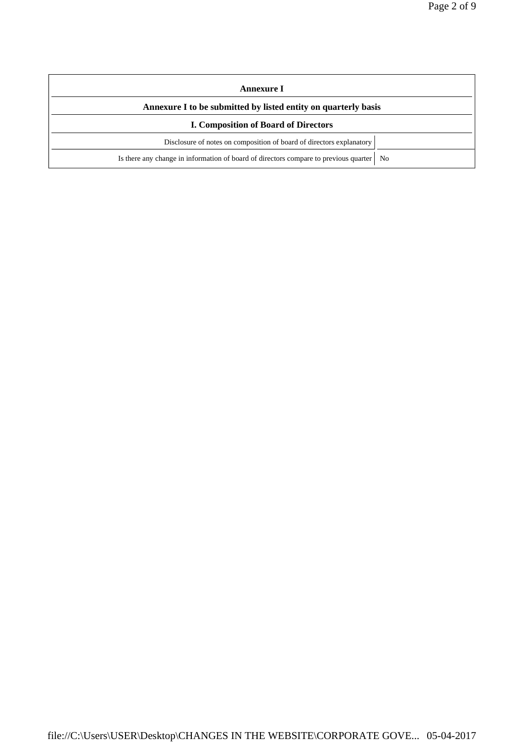| Annexure I                                                                                               |  |  |
|----------------------------------------------------------------------------------------------------------|--|--|
| Annexure I to be submitted by listed entity on quarterly basis                                           |  |  |
| <b>I. Composition of Board of Directors</b>                                                              |  |  |
| Disclosure of notes on composition of board of directors explanatory                                     |  |  |
| Is there any change in information of board of directors compare to previous quarter  <br>N <sub>0</sub> |  |  |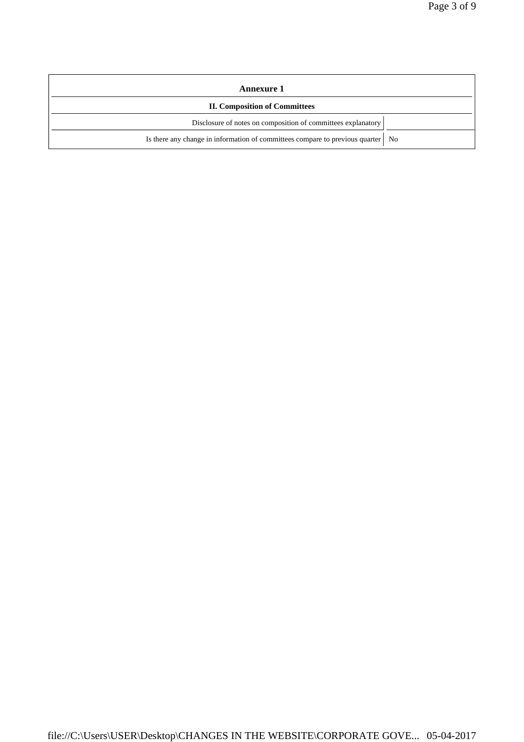| <b>Annexure 1</b>                                                                 |  |  |
|-----------------------------------------------------------------------------------|--|--|
| <b>II. Composition of Committees</b>                                              |  |  |
| Disclosure of notes on composition of committees explanatory                      |  |  |
| Is there any change in information of committees compare to previous quarter   No |  |  |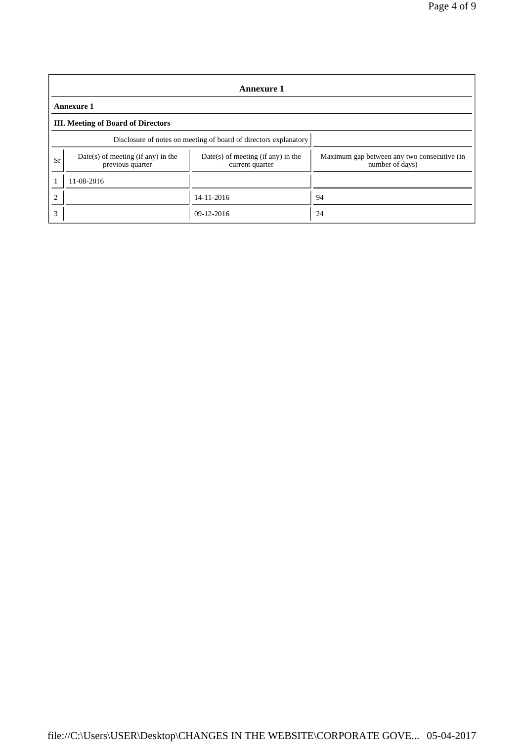| <b>Annexure 1</b> |                                                                  |                                                         |                                                                |  |  |
|-------------------|------------------------------------------------------------------|---------------------------------------------------------|----------------------------------------------------------------|--|--|
|                   | <b>Annexure 1</b>                                                |                                                         |                                                                |  |  |
|                   | <b>III.</b> Meeting of Board of Directors                        |                                                         |                                                                |  |  |
|                   | Disclosure of notes on meeting of board of directors explanatory |                                                         |                                                                |  |  |
| Sr                | $Date(s)$ of meeting (if any) in the<br>previous quarter         | $Date(s)$ of meeting (if any) in the<br>current quarter | Maximum gap between any two consecutive (in<br>number of days) |  |  |
|                   | 11-08-2016                                                       |                                                         |                                                                |  |  |
| $\overline{2}$    |                                                                  | 14-11-2016                                              | 94                                                             |  |  |
| 3                 |                                                                  | $09 - 12 - 2016$                                        | 24                                                             |  |  |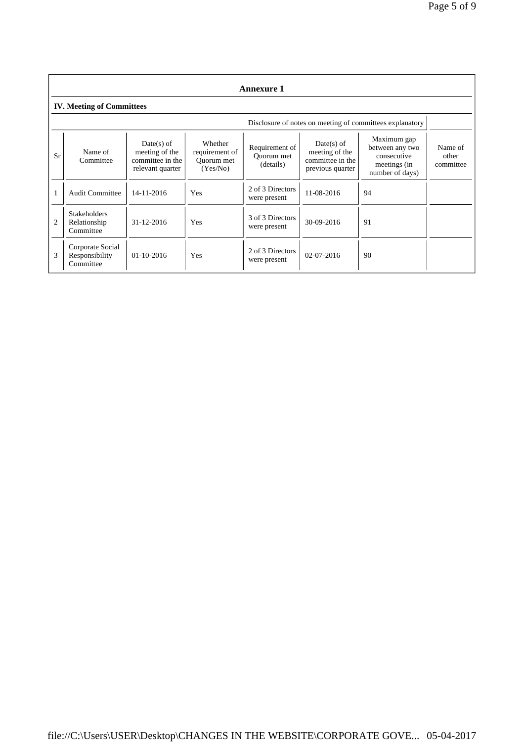|           | <b>Annexure 1</b>                                |                                                                        |                                                     |                                           |                                                                        |                                                                                  |                               |
|-----------|--------------------------------------------------|------------------------------------------------------------------------|-----------------------------------------------------|-------------------------------------------|------------------------------------------------------------------------|----------------------------------------------------------------------------------|-------------------------------|
|           | <b>IV. Meeting of Committees</b>                 |                                                                        |                                                     |                                           |                                                                        |                                                                                  |                               |
|           |                                                  |                                                                        |                                                     |                                           |                                                                        | Disclosure of notes on meeting of committees explanatory                         |                               |
| <b>Sr</b> | Name of<br>Committee                             | $Date(s)$ of<br>meeting of the<br>committee in the<br>relevant quarter | Whether<br>requirement of<br>Ouorum met<br>(Yes/No) | Requirement of<br>Ouorum met<br>(details) | $Date(s)$ of<br>meeting of the<br>committee in the<br>previous quarter | Maximum gap<br>between any two<br>consecutive<br>meetings (in<br>number of days) | Name of<br>other<br>committee |
|           | <b>Audit Committee</b>                           | $14 - 11 - 2016$                                                       | Yes                                                 | 2 of 3 Directors<br>were present          | 11-08-2016                                                             | 94                                                                               |                               |
| 2         | <b>Stakeholders</b><br>Relationship<br>Committee | 31-12-2016                                                             | Yes                                                 | 3 of 3 Directors<br>were present          | 30-09-2016                                                             | 91                                                                               |                               |
| 3         | Corporate Social<br>Responsibility<br>Committee  | 01-10-2016                                                             | Yes                                                 | 2 of 3 Directors<br>were present          | $02 - 07 - 2016$                                                       | 90                                                                               |                               |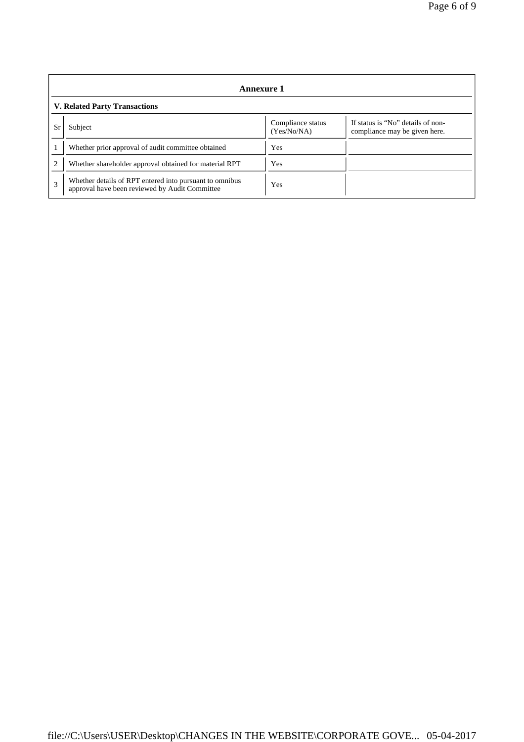| <b>Annexure 1</b>                    |                                                                                                           |                                  |                                                                    |  |
|--------------------------------------|-----------------------------------------------------------------------------------------------------------|----------------------------------|--------------------------------------------------------------------|--|
| <b>V. Related Party Transactions</b> |                                                                                                           |                                  |                                                                    |  |
| Sr                                   | Subject                                                                                                   | Compliance status<br>(Yes/No/NA) | If status is "No" details of non-<br>compliance may be given here. |  |
|                                      | Whether prior approval of audit committee obtained                                                        | Yes                              |                                                                    |  |
| $\overline{c}$                       | Whether shareholder approval obtained for material RPT                                                    | Yes                              |                                                                    |  |
| 3                                    | Whether details of RPT entered into pursuant to omnibus<br>approval have been reviewed by Audit Committee | Yes                              |                                                                    |  |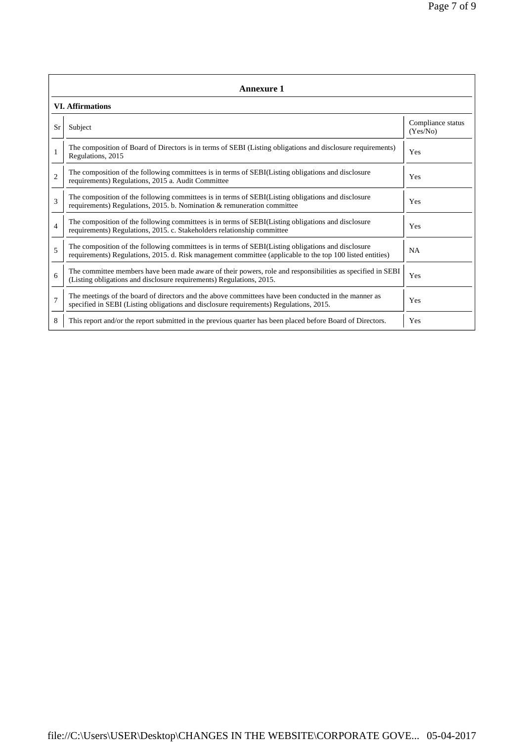|                         | <b>Annexure 1</b>                                                                                                                                                                                               |                               |  |  |  |
|-------------------------|-----------------------------------------------------------------------------------------------------------------------------------------------------------------------------------------------------------------|-------------------------------|--|--|--|
| <b>VI. Affirmations</b> |                                                                                                                                                                                                                 |                               |  |  |  |
| <b>Sr</b>               | Subject                                                                                                                                                                                                         | Compliance status<br>(Yes/No) |  |  |  |
|                         | The composition of Board of Directors is in terms of SEBI (Listing obligations and disclosure requirements)<br>Regulations, 2015                                                                                | Yes                           |  |  |  |
| $\overline{c}$          | The composition of the following committees is in terms of SEBI(Listing obligations and disclosure<br>requirements) Regulations, 2015 a. Audit Committee                                                        | Yes                           |  |  |  |
| $\mathcal{R}$           | The composition of the following committees is in terms of SEBI(Listing obligations and disclosure<br>requirements) Regulations, 2015. b. Nomination & remuneration committee                                   | Yes                           |  |  |  |
| $\overline{4}$          | The composition of the following committees is in terms of SEBI(Listing obligations and disclosure<br>requirements) Regulations, 2015. c. Stakeholders relationship committee                                   | Yes                           |  |  |  |
| 5                       | The composition of the following committees is in terms of SEBI(Listing obligations and disclosure<br>requirements) Regulations, 2015. d. Risk management committee (applicable to the top 100 listed entities) | <b>NA</b>                     |  |  |  |
| 6                       | The committee members have been made aware of their powers, role and responsibilities as specified in SEBI<br>(Listing obligations and disclosure requirements) Regulations, 2015.                              | Yes                           |  |  |  |
| $\overline{7}$          | The meetings of the board of directors and the above committees have been conducted in the manner as<br>specified in SEBI (Listing obligations and disclosure requirements) Regulations, 2015.                  | Yes                           |  |  |  |
| 8                       | This report and/or the report submitted in the previous quarter has been placed before Board of Directors.                                                                                                      | Yes                           |  |  |  |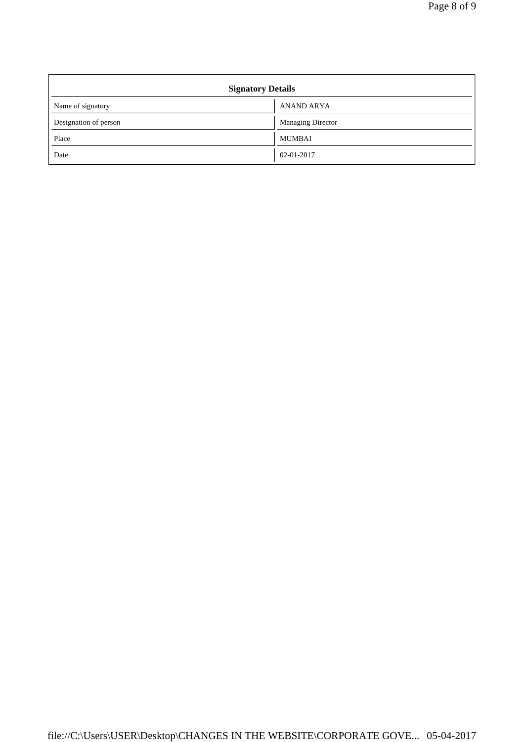| <b>Signatory Details</b> |                          |  |
|--------------------------|--------------------------|--|
| Name of signatory        | <b>ANAND ARYA</b>        |  |
| Designation of person    | <b>Managing Director</b> |  |
| Place                    | MUMBAI                   |  |
| Date                     | 02-01-2017               |  |